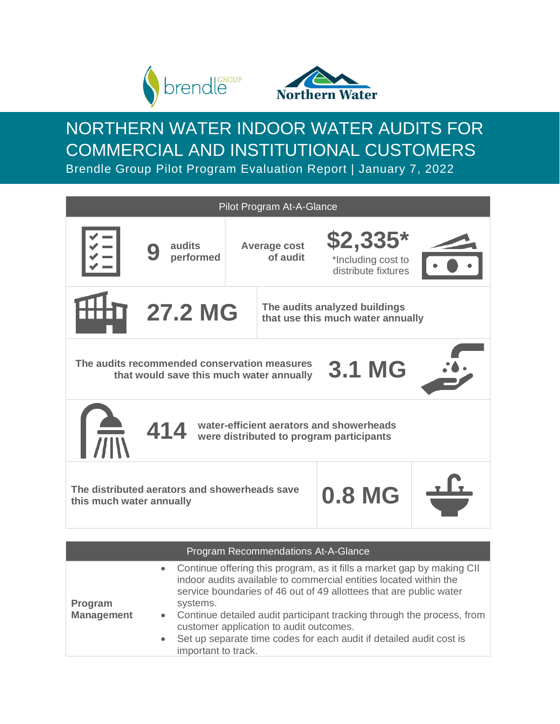

**Management**



NORTHERN WATER INDOOR WATER AUDITS FOR COMMERCIAL AND INSTITUTIONAL CUSTOMERS Brendle Group Pilot Program Evaluation Report | January 7, 2022

|                                                                                                                                                                                                 | Pilot Program At-A-Glance                                                                                 |                                 |                                                                    |  |  |  |  |
|-------------------------------------------------------------------------------------------------------------------------------------------------------------------------------------------------|-----------------------------------------------------------------------------------------------------------|---------------------------------|--------------------------------------------------------------------|--|--|--|--|
|                                                                                                                                                                                                 | audits<br>performed                                                                                       | <b>Average cost</b><br>of audit | $$2,335*$<br>*Including cost to<br>distribute fixtures             |  |  |  |  |
|                                                                                                                                                                                                 | <b>27.2 MG</b>                                                                                            |                                 | The audits analyzed buildings<br>that use this much water annually |  |  |  |  |
|                                                                                                                                                                                                 | The audits recommended conservation measures<br><b>3.1 MG</b><br>that would save this much water annually |                                 |                                                                    |  |  |  |  |
| water-efficient aerators and showerheads<br>414<br>were distributed to program participants                                                                                                     |                                                                                                           |                                 |                                                                    |  |  |  |  |
| The distributed aerators and showerheads save<br><b>0.8 MG</b><br>this much water annually                                                                                                      |                                                                                                           |                                 |                                                                    |  |  |  |  |
|                                                                                                                                                                                                 |                                                                                                           |                                 |                                                                    |  |  |  |  |
| Program Recommendations At-A-Glance<br>Continue offering this program, as it fills a market gap by making CII<br>$\bullet$<br>indoor audits available to commercial entities located within the |                                                                                                           |                                 |                                                                    |  |  |  |  |
| <b>Program</b>                                                                                                                                                                                  | systems.                                                                                                  |                                 | service boundaries of 46 out of 49 allottees that are public water |  |  |  |  |

- Continue detailed audit participant tracking through the process, from customer application to audit outcomes.
	- Set up separate time codes for each audit if detailed audit cost is important to track.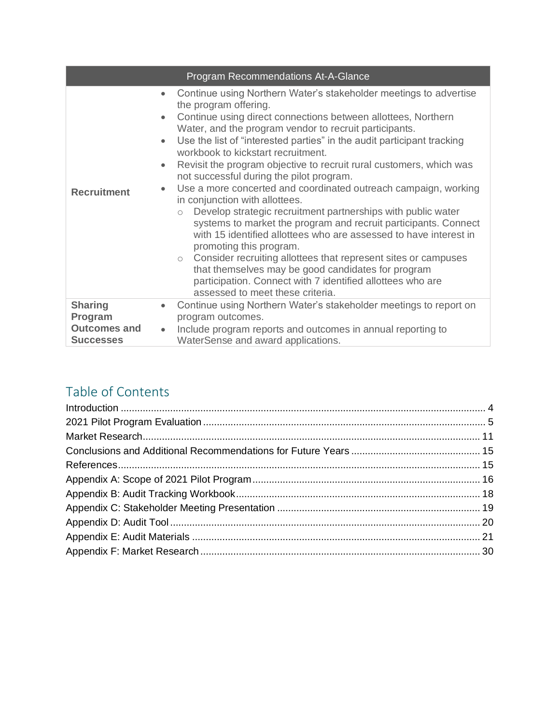|                                                                      | Program Recommendations At-A-Glance                                                                                                                                                                                                                                                                                                                                                                                                                                                                                                                                                                                                                                                                                                                                                                                                                                                                                                                                                                                                                                                         |
|----------------------------------------------------------------------|---------------------------------------------------------------------------------------------------------------------------------------------------------------------------------------------------------------------------------------------------------------------------------------------------------------------------------------------------------------------------------------------------------------------------------------------------------------------------------------------------------------------------------------------------------------------------------------------------------------------------------------------------------------------------------------------------------------------------------------------------------------------------------------------------------------------------------------------------------------------------------------------------------------------------------------------------------------------------------------------------------------------------------------------------------------------------------------------|
| <b>Recruitment</b>                                                   | Continue using Northern Water's stakeholder meetings to advertise<br>$\bullet$<br>the program offering.<br>Continue using direct connections between allottees, Northern<br>$\bullet$<br>Water, and the program vendor to recruit participants.<br>Use the list of "interested parties" in the audit participant tracking<br>workbook to kickstart recruitment.<br>Revisit the program objective to recruit rural customers, which was<br>$\bullet$<br>not successful during the pilot program.<br>Use a more concerted and coordinated outreach campaign, working<br>$\bullet$<br>in conjunction with allottees.<br>Develop strategic recruitment partnerships with public water<br>$\circ$<br>systems to market the program and recruit participants. Connect<br>with 15 identified allottees who are assessed to have interest in<br>promoting this program.<br>o Consider recruiting allottees that represent sites or campuses<br>that themselves may be good candidates for program<br>participation. Connect with 7 identified allottees who are<br>assessed to meet these criteria. |
| <b>Sharing</b><br>Program<br><b>Outcomes and</b><br><b>Successes</b> | Continue using Northern Water's stakeholder meetings to report on<br>$\bullet$<br>program outcomes.<br>Include program reports and outcomes in annual reporting to<br>٠<br>WaterSense and award applications.                                                                                                                                                                                                                                                                                                                                                                                                                                                                                                                                                                                                                                                                                                                                                                                                                                                                               |

# Table of Contents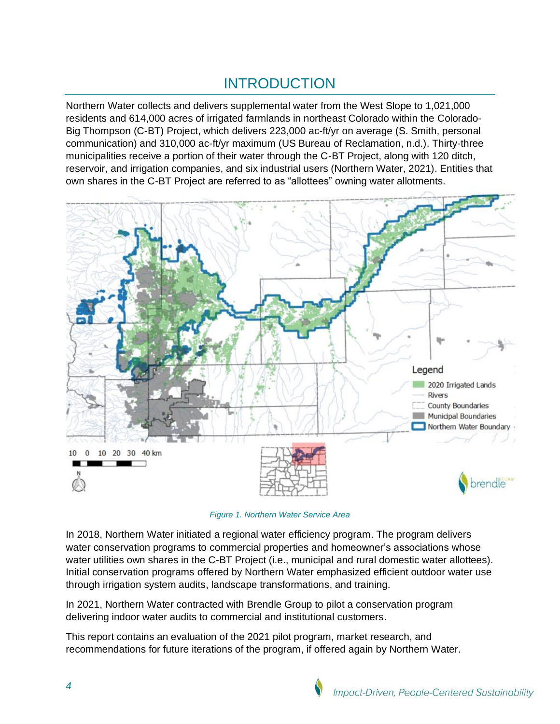# INTRODUCTION

<span id="page-3-0"></span>Northern Water collects and delivers supplemental water from the West Slope to 1,021,000 residents and 614,000 acres of irrigated farmlands in northeast Colorado within the Colorado-Big Thompson (C-BT) Project, which delivers 223,000 ac-ft/yr on average (S. Smith, personal communication) and 310,000 ac-ft/yr maximum (US Bureau of Reclamation, n.d.). Thirty-three municipalities receive a portion of their water through the C-BT Project, along with 120 ditch, reservoir, and irrigation companies, and six industrial users (Northern Water, 2021). Entities that own shares in the C-BT Project are referred to as "allottees" owning water allotments.



*Figure 1. Northern Water Service Area*

In 2018, Northern Water initiated a regional water efficiency program. The program delivers water conservation programs to commercial properties and homeowner's associations whose water utilities own shares in the C-BT Project (i.e., municipal and rural domestic water allottees). Initial conservation programs offered by Northern Water emphasized efficient outdoor water use through irrigation system audits, landscape transformations, and training.

In 2021, Northern Water contracted with Brendle Group to pilot a conservation program delivering indoor water audits to commercial and institutional customers.

This report contains an evaluation of the 2021 pilot program, market research, and recommendations for future iterations of the program, if offered again by Northern Water.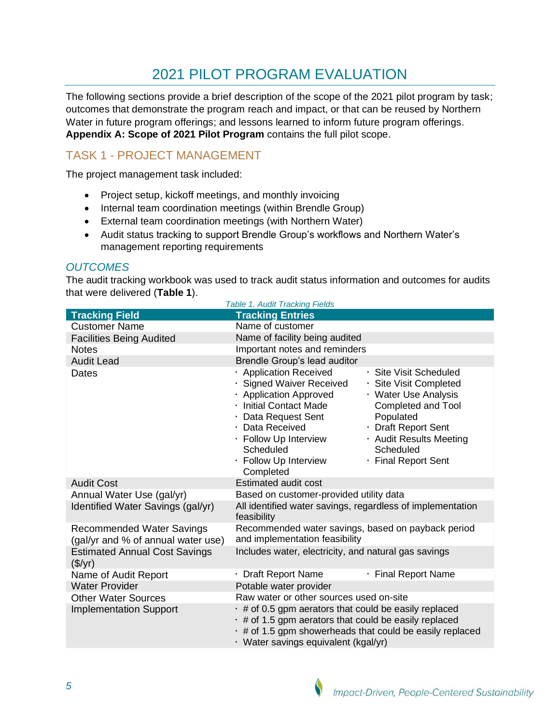# 2021 PILOT PROGRAM EVALUATION

<span id="page-4-0"></span>The following sections provide a brief description of the scope of the 2021 pilot program by task; outcomes that demonstrate the program reach and impact, or that can be reused by Northern Water in future program offerings; and lessons learned to inform future program offerings. **Appendix A: Scope [of 2021 Pilot Program](#page-15-0)** contains the full pilot scope.

# TASK 1 - PROJECT MANAGEMENT

The project management task included:

- Project setup, kickoff meetings, and monthly invoicing
- Internal team coordination meetings (within Brendle Group)
- External team coordination meetings (with Northern Water)
- Audit status tracking to support Brendle Group's workflows and Northern Water's management reporting requirements

### *OUTCOMES*

The audit tracking workbook was used to track audit status information and outcomes for audits that were delivered (**[Table 1](#page-4-1)**).

<span id="page-4-1"></span>

|                                                                        | <b>Table 1. Audit Tracking Fields</b>                                                                                                                                                                                                |                                                                                                                                                                                                   |  |  |
|------------------------------------------------------------------------|--------------------------------------------------------------------------------------------------------------------------------------------------------------------------------------------------------------------------------------|---------------------------------------------------------------------------------------------------------------------------------------------------------------------------------------------------|--|--|
| <b>Tracking Field</b>                                                  | <b>Tracking Entries</b>                                                                                                                                                                                                              |                                                                                                                                                                                                   |  |  |
| <b>Customer Name</b>                                                   | Name of customer                                                                                                                                                                                                                     |                                                                                                                                                                                                   |  |  |
| <b>Facilities Being Audited</b>                                        | Name of facility being audited                                                                                                                                                                                                       |                                                                                                                                                                                                   |  |  |
| <b>Notes</b>                                                           | Important notes and reminders                                                                                                                                                                                                        |                                                                                                                                                                                                   |  |  |
| <b>Audit Lead</b>                                                      | Brendle Group's lead auditor                                                                                                                                                                                                         |                                                                                                                                                                                                   |  |  |
| Dates                                                                  | · Application Received<br>· Signed Waiver Received<br>· Application Approved<br>· Initial Contact Made<br>· Data Request Sent<br>· Data Received<br>· Follow Up Interview<br>Scheduled<br>· Follow Up Interview<br>Completed         | · Site Visit Scheduled<br>· Site Visit Completed<br>· Water Use Analysis<br>Completed and Tool<br>Populated<br>· Draft Report Sent<br>· Audit Results Meeting<br>Scheduled<br>· Final Report Sent |  |  |
| <b>Audit Cost</b>                                                      | <b>Estimated audit cost</b>                                                                                                                                                                                                          |                                                                                                                                                                                                   |  |  |
| Annual Water Use (gal/yr)                                              | Based on customer-provided utility data                                                                                                                                                                                              |                                                                                                                                                                                                   |  |  |
| Identified Water Savings (gal/yr)                                      | All identified water savings, regardless of implementation<br>feasibility                                                                                                                                                            |                                                                                                                                                                                                   |  |  |
| <b>Recommended Water Savings</b><br>(gal/yr and % of annual water use) | Recommended water savings, based on payback period<br>and implementation feasibility                                                                                                                                                 |                                                                                                                                                                                                   |  |  |
| <b>Estimated Annual Cost Savings</b><br>(\$/yr)                        | Includes water, electricity, and natural gas savings                                                                                                                                                                                 |                                                                                                                                                                                                   |  |  |
| Name of Audit Report                                                   | · Draft Report Name                                                                                                                                                                                                                  | · Final Report Name                                                                                                                                                                               |  |  |
| <b>Water Provider</b>                                                  | Potable water provider                                                                                                                                                                                                               |                                                                                                                                                                                                   |  |  |
| <b>Other Water Sources</b>                                             | Raw water or other sources used on-site                                                                                                                                                                                              |                                                                                                                                                                                                   |  |  |
| <b>Implementation Support</b>                                          | $\cdot$ # of 0.5 gpm aerators that could be easily replaced<br>$\cdot$ # of 1.5 gpm aerators that could be easily replaced<br>$\cdot$ # of 1.5 gpm showerheads that could be easily replaced<br>· Water savings equivalent (kgal/yr) |                                                                                                                                                                                                   |  |  |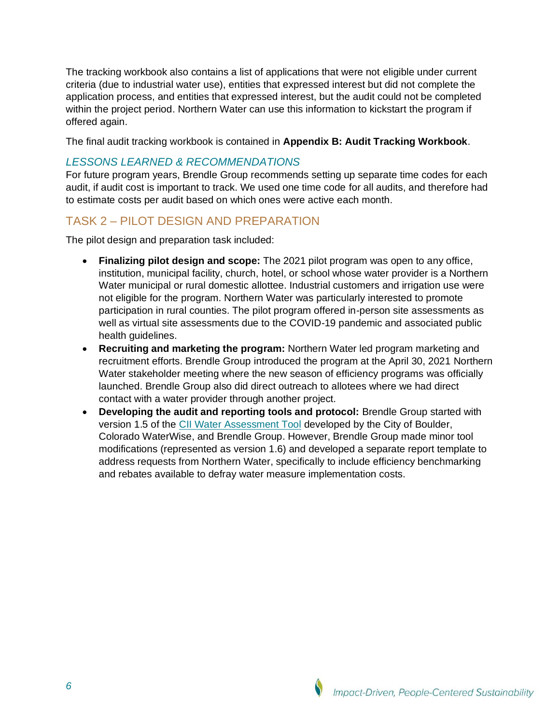The tracking workbook also contains a list of applications that were not eligible under current criteria (due to industrial water use), entities that expressed interest but did not complete the application process, and entities that expressed interest, but the audit could not be completed within the project period. Northern Water can use this information to kickstart the program if offered again.

The final audit tracking workbook is contained in **[Appendix B: Audit Tracking Workbook](#page-17-0)**.

### *LESSONS LEARNED & RECOMMENDATIONS*

For future program years, Brendle Group recommends setting up separate time codes for each audit, if audit cost is important to track. We used one time code for all audits, and therefore had to estimate costs per audit based on which ones were active each month.

# TASK 2 – PILOT DESIGN AND PREPARATION

The pilot design and preparation task included:

- **Finalizing pilot design and scope:** The 2021 pilot program was open to any office, institution, municipal facility, church, hotel, or school whose water provider is a Northern Water municipal or rural domestic allottee. Industrial customers and irrigation use were not eligible for the program. Northern Water was particularly interested to promote participation in rural counties. The pilot program offered in-person site assessments as well as virtual site assessments due to the COVID-19 pandemic and associated public health guidelines.
- **Recruiting and marketing the program:** Northern Water led program marketing and recruitment efforts. Brendle Group introduced the program at the April 30, 2021 Northern Water stakeholder meeting where the new season of efficiency programs was officially launched. Brendle Group also did direct outreach to allotees where we had direct contact with a water provider through another project.
- **Developing the audit and reporting tools and protocol:** Brendle Group started with version 1.5 of the [CII Water Assessment Tool](https://www.coloradowaterwise.org/Commercial_Conservation) developed by the City of Boulder, Colorado WaterWise, and Brendle Group. However, Brendle Group made minor tool modifications (represented as version 1.6) and developed a separate report template to address requests from Northern Water, specifically to include efficiency benchmarking and rebates available to defray water measure implementation costs.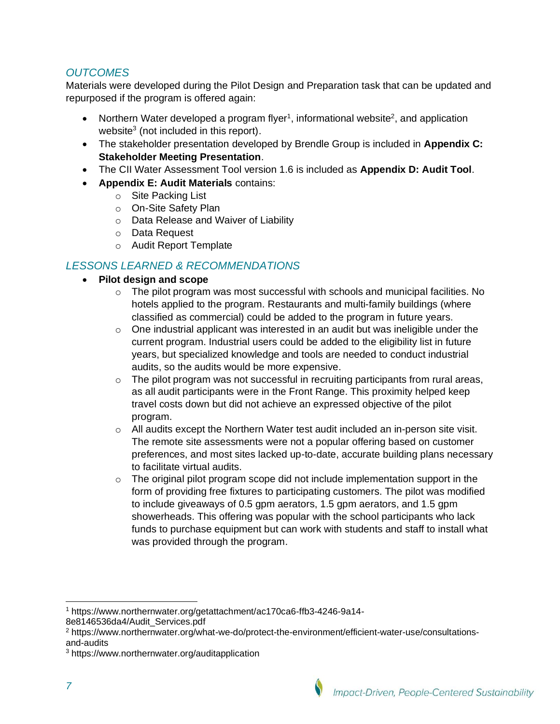## *OUTCOMES*

Materials were developed during the Pilot Design and Preparation task that can be updated and repurposed if the program is offered again:

- Northern Water developed a program flyer<sup>1</sup>, informational website<sup>2</sup>, and application website $3$  (not included in this report).
- The stakeholder presentation developed by Brendle Group is included in **[Appendix C:](#page-18-0)  [Stakeholder Meeting Presentation](#page-18-0)**.
- The CII Water Assessment Tool version 1.6 is included as **[Appendix D: Audit Tool](#page-19-0)**.
- **[Appendix E: Audit Materials](#page-20-0)** contains:
	- o Site Packing List
	- o On-Site Safety Plan
	- o Data Release and Waiver of Liability
	- o Data Request
	- o Audit Report Template

## *LESSONS LEARNED & RECOMMENDATIONS*

- **Pilot design and scope**
	- o The pilot program was most successful with schools and municipal facilities. No hotels applied to the program. Restaurants and multi-family buildings (where classified as commercial) could be added to the program in future years.
	- $\circ$  One industrial applicant was interested in an audit but was ineligible under the current program. Industrial users could be added to the eligibility list in future years, but specialized knowledge and tools are needed to conduct industrial audits, so the audits would be more expensive.
	- $\circ$  The pilot program was not successful in recruiting participants from rural areas, as all audit participants were in the Front Range. This proximity helped keep travel costs down but did not achieve an expressed objective of the pilot program.
	- $\circ$  All audits except the Northern Water test audit included an in-person site visit. The remote site assessments were not a popular offering based on customer preferences, and most sites lacked up-to-date, accurate building plans necessary to facilitate virtual audits.
	- $\circ$  The original pilot program scope did not include implementation support in the form of providing free fixtures to participating customers. The pilot was modified to include giveaways of 0.5 gpm aerators, 1.5 gpm aerators, and 1.5 gpm showerheads. This offering was popular with the school participants who lack funds to purchase equipment but can work with students and staff to install what was provided through the program.

<sup>1</sup> https://www.northernwater.org/getattachment/ac170ca6-ffb3-4246-9a14-

<sup>8</sup>e8146536da4/Audit\_Services.pdf

<sup>2</sup> https://www.northernwater.org/what-we-do/protect-the-environment/efficient-water-use/consultationsand-audits

<sup>3</sup> https://www.northernwater.org/auditapplication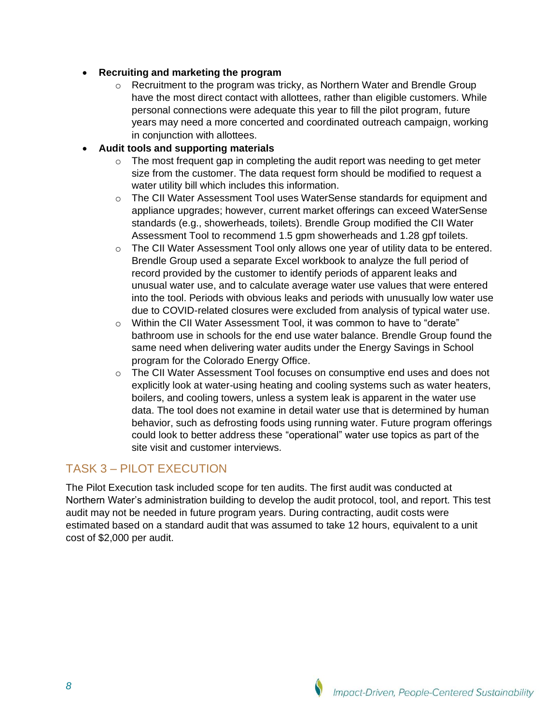### • **Recruiting and marketing the program**

o Recruitment to the program was tricky, as Northern Water and Brendle Group have the most direct contact with allottees, rather than eligible customers. While personal connections were adequate this year to fill the pilot program, future years may need a more concerted and coordinated outreach campaign, working in conjunction with allottees.

### • **Audit tools and supporting materials**

- o The most frequent gap in completing the audit report was needing to get meter size from the customer. The data request form should be modified to request a water utility bill which includes this information.
- o The CII Water Assessment Tool uses WaterSense standards for equipment and appliance upgrades; however, current market offerings can exceed WaterSense standards (e.g., showerheads, toilets). Brendle Group modified the CII Water Assessment Tool to recommend 1.5 gpm showerheads and 1.28 gpf toilets.
- o The CII Water Assessment Tool only allows one year of utility data to be entered. Brendle Group used a separate Excel workbook to analyze the full period of record provided by the customer to identify periods of apparent leaks and unusual water use, and to calculate average water use values that were entered into the tool. Periods with obvious leaks and periods with unusually low water use due to COVID-related closures were excluded from analysis of typical water use.
- o Within the CII Water Assessment Tool, it was common to have to "derate" bathroom use in schools for the end use water balance. Brendle Group found the same need when delivering water audits under the Energy Savings in School program for the Colorado Energy Office.
- o The CII Water Assessment Tool focuses on consumptive end uses and does not explicitly look at water-using heating and cooling systems such as water heaters, boilers, and cooling towers, unless a system leak is apparent in the water use data. The tool does not examine in detail water use that is determined by human behavior, such as defrosting foods using running water. Future program offerings could look to better address these "operational" water use topics as part of the site visit and customer interviews.

# TASK 3 – PILOT EXECUTION

The Pilot Execution task included scope for ten audits. The first audit was conducted at Northern Water's administration building to develop the audit protocol, tool, and report. This test audit may not be needed in future program years. During contracting, audit costs were estimated based on a standard audit that was assumed to take 12 hours, equivalent to a unit cost of \$2,000 per audit.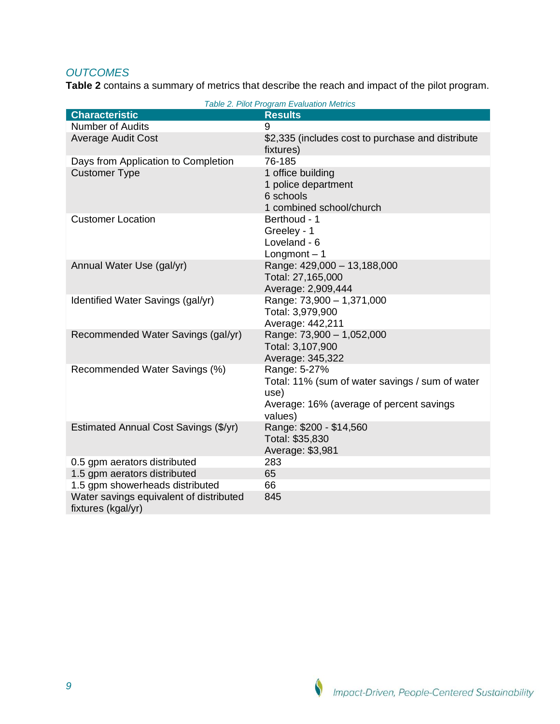# *OUTCOMES*

**[Table 2](#page-8-0)** contains a summary of metrics that describe the reach and impact of the pilot program.

<span id="page-8-0"></span>

| Table 2. Pilot Program Evaluation Metrics                                                                                      |
|--------------------------------------------------------------------------------------------------------------------------------|
| <b>Results</b>                                                                                                                 |
| 9                                                                                                                              |
| \$2,335 (includes cost to purchase and distribute<br>fixtures)                                                                 |
| 76-185                                                                                                                         |
| 1 office building<br>1 police department<br>6 schools<br>1 combined school/church                                              |
| Berthoud - 1<br>Greeley - 1<br>Loveland - 6<br>Longmont $-1$                                                                   |
| Range: 429,000 - 13,188,000<br>Total: 27,165,000<br>Average: 2,909,444                                                         |
| Range: 73,900 - 1,371,000<br>Total: 3,979,900<br>Average: 442,211                                                              |
| Range: 73,900 - 1,052,000<br>Total: 3,107,900<br>Average: 345,322                                                              |
| Range: 5-27%<br>Total: 11% (sum of water savings / sum of water<br>use)<br>Average: 16% (average of percent savings<br>values) |
| Range: \$200 - \$14,560<br>Total: \$35,830<br>Average: \$3,981                                                                 |
| 283                                                                                                                            |
| 65                                                                                                                             |
| 66                                                                                                                             |
| 845                                                                                                                            |
|                                                                                                                                |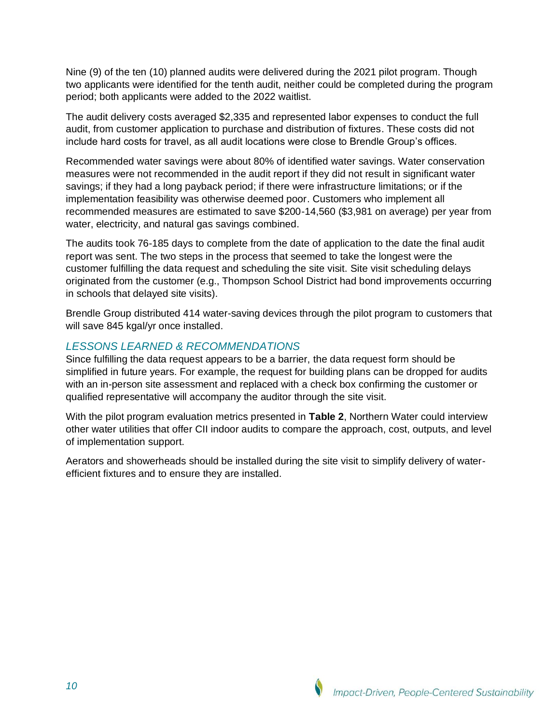Nine (9) of the ten (10) planned audits were delivered during the 2021 pilot program. Though two applicants were identified for the tenth audit, neither could be completed during the program period; both applicants were added to the 2022 waitlist.

The audit delivery costs averaged \$2,335 and represented labor expenses to conduct the full audit, from customer application to purchase and distribution of fixtures. These costs did not include hard costs for travel, as all audit locations were close to Brendle Group's offices.

Recommended water savings were about 80% of identified water savings. Water conservation measures were not recommended in the audit report if they did not result in significant water savings; if they had a long payback period; if there were infrastructure limitations; or if the implementation feasibility was otherwise deemed poor. Customers who implement all recommended measures are estimated to save \$200-14,560 (\$3,981 on average) per year from water, electricity, and natural gas savings combined.

The audits took 76-185 days to complete from the date of application to the date the final audit report was sent. The two steps in the process that seemed to take the longest were the customer fulfilling the data request and scheduling the site visit. Site visit scheduling delays originated from the customer (e.g., Thompson School District had bond improvements occurring in schools that delayed site visits).

Brendle Group distributed 414 water-saving devices through the pilot program to customers that will save 845 kgal/yr once installed.

## *LESSONS LEARNED & RECOMMENDATIONS*

Since fulfilling the data request appears to be a barrier, the data request form should be simplified in future years. For example, the request for building plans can be dropped for audits with an in-person site assessment and replaced with a check box confirming the customer or qualified representative will accompany the auditor through the site visit.

With the pilot program evaluation metrics presented in **[Table 2](#page-8-0)**, Northern Water could interview other water utilities that offer CII indoor audits to compare the approach, cost, outputs, and level of implementation support.

Aerators and showerheads should be installed during the site visit to simplify delivery of waterefficient fixtures and to ensure they are installed.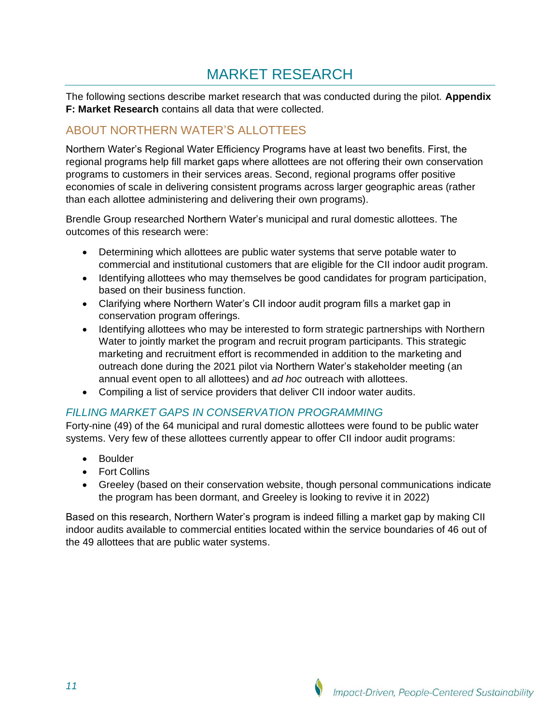# MARKET RESEARCH

<span id="page-10-0"></span>The following sections describe market research that was conducted during the pilot. **[Appendix](#page-29-0)  [F: Market Research](#page-29-0)** contains all data that were collected.

# ABOUT NORTHERN WATER'S ALLOTTEES

Northern Water's Regional Water Efficiency Programs have at least two benefits. First, the regional programs help fill market gaps where allottees are not offering their own conservation programs to customers in their services areas. Second, regional programs offer positive economies of scale in delivering consistent programs across larger geographic areas (rather than each allottee administering and delivering their own programs).

Brendle Group researched Northern Water's municipal and rural domestic allottees. The outcomes of this research were:

- Determining which allottees are public water systems that serve potable water to commercial and institutional customers that are eligible for the CII indoor audit program.
- Identifying allottees who may themselves be good candidates for program participation, based on their business function.
- Clarifying where Northern Water's CII indoor audit program fills a market gap in conservation program offerings.
- Identifying allottees who may be interested to form strategic partnerships with Northern Water to jointly market the program and recruit program participants. This strategic marketing and recruitment effort is recommended in addition to the marketing and outreach done during the 2021 pilot via Northern Water's stakeholder meeting (an annual event open to all allottees) and *ad hoc* outreach with allottees.
- Compiling a list of service providers that deliver CII indoor water audits.

## *FILLING MARKET GAPS IN CONSERVATION PROGRAMMING*

Forty-nine (49) of the 64 municipal and rural domestic allottees were found to be public water systems. Very few of these allottees currently appear to offer CII indoor audit programs:

- Boulder
- Fort Collins
- Greeley (based on their conservation website, though personal communications indicate the program has been dormant, and Greeley is looking to revive it in 2022)

Based on this research, Northern Water's program is indeed filling a market gap by making CII indoor audits available to commercial entities located within the service boundaries of 46 out of the 49 allottees that are public water systems.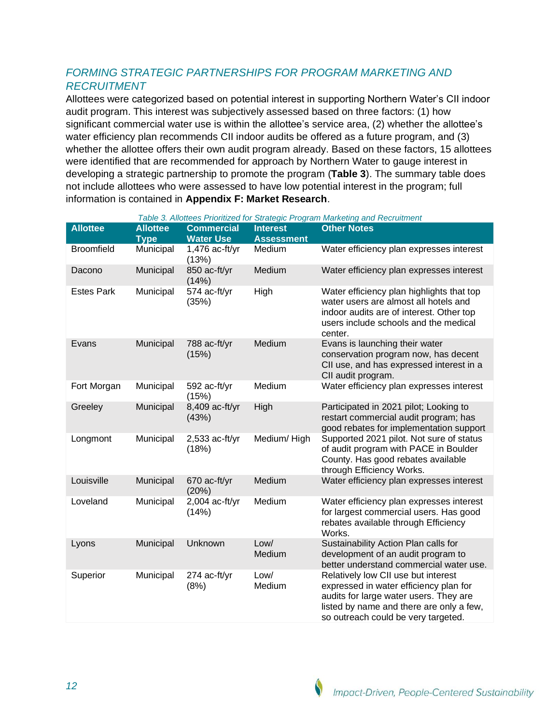## *FORMING STRATEGIC PARTNERSHIPS FOR PROGRAM MARKETING AND RECRUITMENT*

Allottees were categorized based on potential interest in supporting Northern Water's CII indoor audit program. This interest was subjectively assessed based on three factors: (1) how significant commercial water use is within the allottee's service area, (2) whether the allottee's water efficiency plan recommends CII indoor audits be offered as a future program, and (3) whether the allottee offers their own audit program already. Based on these factors, 15 allottees were identified that are recommended for approach by Northern Water to gauge interest in developing a strategic partnership to promote the program (**[Table 3](#page-11-0)**). The summary table does not include allottees who were assessed to have low potential interest in the program; full information is contained in **[Appendix F: Market Research](#page-29-0)**.

<span id="page-11-0"></span>

| <b>Allottee</b>   | <b>Allottee</b> | <b>Commercial</b>         | <b>Interest</b>   | Table 3. Allottees Prioritized for Strategic Program Marketing and Recruitment<br><b>Other Notes</b>                                                                                                       |
|-------------------|-----------------|---------------------------|-------------------|------------------------------------------------------------------------------------------------------------------------------------------------------------------------------------------------------------|
|                   | <b>Type</b>     | <b>Water Use</b>          | <b>Assessment</b> |                                                                                                                                                                                                            |
| <b>Broomfield</b> | Municipal       | $1,476$ ac-ft/yr<br>(13%) | Medium            | Water efficiency plan expresses interest                                                                                                                                                                   |
| Dacono            | Municipal       | 850 ac-ft/yr<br>(14%)     | Medium            | Water efficiency plan expresses interest                                                                                                                                                                   |
| <b>Estes Park</b> | Municipal       | 574 ac-ft/yr<br>(35%)     | High              | Water efficiency plan highlights that top<br>water users are almost all hotels and<br>indoor audits are of interest. Other top<br>users include schools and the medical<br>center.                         |
| Evans             | Municipal       | 788 ac-ft/yr<br>(15%)     | Medium            | Evans is launching their water<br>conservation program now, has decent<br>CII use, and has expressed interest in a<br>CII audit program.                                                                   |
| Fort Morgan       | Municipal       | 592 ac-ft/yr<br>(15%)     | Medium            | Water efficiency plan expresses interest                                                                                                                                                                   |
| Greeley           | Municipal       | 8,409 ac-ft/yr<br>(43%)   | High              | Participated in 2021 pilot; Looking to<br>restart commercial audit program; has<br>good rebates for implementation support                                                                                 |
| Longmont          | Municipal       | $2,533$ ac-ft/yr<br>(18%) | Medium/High       | Supported 2021 pilot. Not sure of status<br>of audit program with PACE in Boulder<br>County. Has good rebates available<br>through Efficiency Works.                                                       |
| Louisville        | Municipal       | 670 ac-ft/yr<br>(20%)     | Medium            | Water efficiency plan expresses interest                                                                                                                                                                   |
| Loveland          | Municipal       | 2,004 ac-ft/yr<br>(14%)   | Medium            | Water efficiency plan expresses interest<br>for largest commercial users. Has good<br>rebates available through Efficiency<br>Works.                                                                       |
| Lyons             | Municipal       | Unknown                   | Low/<br>Medium    | Sustainability Action Plan calls for<br>development of an audit program to<br>better understand commercial water use.                                                                                      |
| Superior          | Municipal       | 274 ac-ft/yr<br>(8%)      | Low/<br>Medium    | Relatively low CII use but interest<br>expressed in water efficiency plan for<br>audits for large water users. They are<br>listed by name and there are only a few,<br>so outreach could be very targeted. |

*Table 3. Allottees Prioritized for Strategic Program Marketing and Recruitment*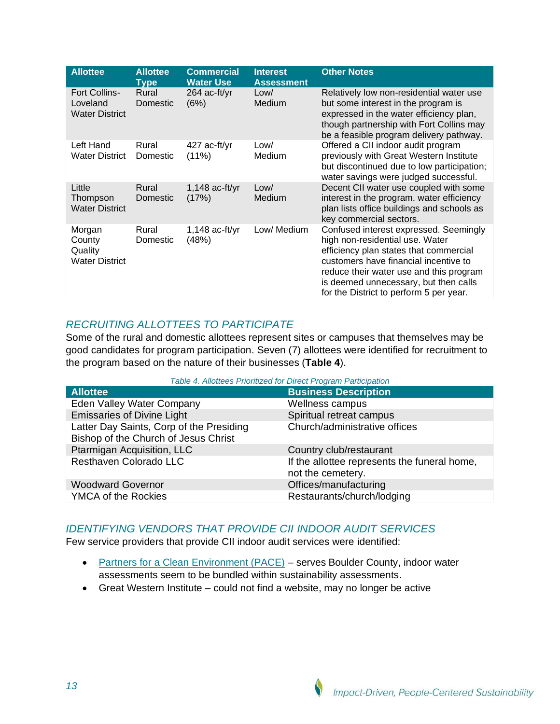| <b>Allottee</b>                                           | <b>Allottee</b><br><b>Type</b> | <b>Commercial</b><br><b>Water Use</b> | <b>Interest</b><br><b>Assessment</b> | <b>Other Notes</b>                                                                                                                                                                                                                                                                          |
|-----------------------------------------------------------|--------------------------------|---------------------------------------|--------------------------------------|---------------------------------------------------------------------------------------------------------------------------------------------------------------------------------------------------------------------------------------------------------------------------------------------|
| <b>Fort Collins-</b><br>Loveland<br><b>Water District</b> | Rural<br>Domestic              | $264$ ac-ft/yr<br>(6%)                | Low/<br>Medium                       | Relatively low non-residential water use<br>but some interest in the program is<br>expressed in the water efficiency plan,<br>though partnership with Fort Collins may<br>be a feasible program delivery pathway.                                                                           |
| Left Hand<br><b>Water District</b>                        | Rural<br>Domestic              | 427 ac-ft/yr<br>$(11\%)$              | Low/<br>Medium                       | Offered a CII indoor audit program<br>previously with Great Western Institute<br>but discontinued due to low participation;<br>water savings were judged successful.                                                                                                                        |
| Little<br>Thompson<br><b>Water District</b>               | Rural<br>Domestic              | $1,148$ ac-ft/yr<br>(17%)             | Low/<br>Medium                       | Decent CII water use coupled with some<br>interest in the program. water efficiency<br>plan lists office buildings and schools as<br>key commercial sectors.                                                                                                                                |
| Morgan<br>County<br>Quality<br><b>Water District</b>      | Rural<br>Domestic              | $1,148$ ac-ft/yr<br>(48%)             | Low/ Medium                          | Confused interest expressed. Seemingly<br>high non-residential use. Water<br>efficiency plan states that commercial<br>customers have financial incentive to<br>reduce their water use and this program<br>is deemed unnecessary, but then calls<br>for the District to perform 5 per year. |

## *RECRUITING ALLOTTEES TO PARTICIPATE*

Some of the rural and domestic allottees represent sites or campuses that themselves may be good candidates for program participation. Seven (7) allottees were identified for recruitment to the program based on the nature of their businesses (**[Table 4](#page-12-0)**).

*Table 4. Allottees Prioritized for Direct Program Participation*

<span id="page-12-0"></span>

| <b>Allottee</b>                                                                  | <b>Business Description</b>                                       |
|----------------------------------------------------------------------------------|-------------------------------------------------------------------|
| <b>Eden Valley Water Company</b>                                                 | Wellness campus                                                   |
| <b>Emissaries of Divine Light</b>                                                | Spiritual retreat campus                                          |
| Latter Day Saints, Corp of the Presiding<br>Bishop of the Church of Jesus Christ | Church/administrative offices                                     |
| Ptarmigan Acquisition, LLC                                                       | Country club/restaurant                                           |
| Resthaven Colorado LLC                                                           | If the allottee represents the funeral home,<br>not the cemetery. |
| <b>Woodward Governor</b>                                                         | Offices/manufacturing                                             |
| <b>YMCA of the Rockies</b>                                                       | Restaurants/church/lodging                                        |

### *IDENTIFYING VENDORS THAT PROVIDE CII INDOOR AUDIT SERVICES*

Few service providers that provide CII indoor audit services were identified:

- [Partners for a Clean Environment \(PACE\)](https://www.pacepartners.com/for-businesses/) serves Boulder County, indoor water assessments seem to be bundled within sustainability assessments.
- Great Western Institute could not find a website, may no longer be active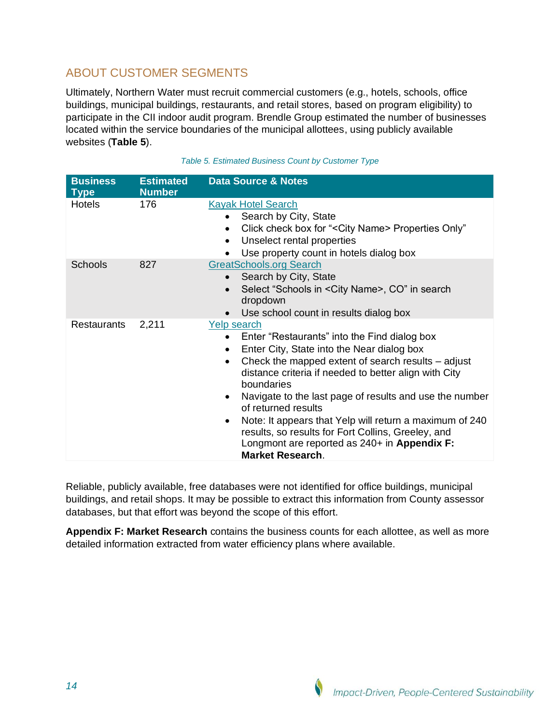# ABOUT CUSTOMER SEGMENTS

Ultimately, Northern Water must recruit commercial customers (e.g., hotels, schools, office buildings, municipal buildings, restaurants, and retail stores, based on program eligibility) to participate in the CII indoor audit program. Brendle Group estimated the number of businesses located within the service boundaries of the municipal allottees, using publicly available websites (**[Table 5](#page-13-0)**).

<span id="page-13-0"></span>

| <b>Business</b><br><b>Type</b> | <b>Estimated</b><br><b>Number</b> | <b>Data Source &amp; Notes</b>                                                                                                                                                                                                                                                                                                                                                                                                                                                                                                                                                               |
|--------------------------------|-----------------------------------|----------------------------------------------------------------------------------------------------------------------------------------------------------------------------------------------------------------------------------------------------------------------------------------------------------------------------------------------------------------------------------------------------------------------------------------------------------------------------------------------------------------------------------------------------------------------------------------------|
| <b>Hotels</b>                  | 176                               | <b>Kayak Hotel Search</b><br>Search by City, State<br>Click check box for "< City Name> Properties Only"<br>Unselect rental properties<br>$\bullet$<br>Use property count in hotels dialog box                                                                                                                                                                                                                                                                                                                                                                                               |
| <b>Schools</b>                 | 827                               | <b>GreatSchools.org Search</b><br>Search by City, State<br>$\bullet$<br>Select "Schools in < City Name>, CO" in search<br>$\bullet$<br>dropdown<br>Use school count in results dialog box                                                                                                                                                                                                                                                                                                                                                                                                    |
| <b>Restaurants</b>             | 2,211                             | <b>Yelp search</b><br>Enter "Restaurants" into the Find dialog box<br>$\bullet$<br>Enter City, State into the Near dialog box<br>$\bullet$<br>Check the mapped extent of search results - adjust<br>$\bullet$<br>distance criteria if needed to better align with City<br>boundaries<br>Navigate to the last page of results and use the number<br>$\bullet$<br>of returned results<br>Note: It appears that Yelp will return a maximum of 240<br>$\bullet$<br>results, so results for Fort Collins, Greeley, and<br>Longmont are reported as 240+ in Appendix F:<br><b>Market Research.</b> |

| Table 5. Estimated Business Count by Customer Type |  |  |  |
|----------------------------------------------------|--|--|--|
|                                                    |  |  |  |

Reliable, publicly available, free databases were not identified for office buildings, municipal buildings, and retail shops. It may be possible to extract this information from County assessor databases, but that effort was beyond the scope of this effort.

**[Appendix F: Market Research](#page-29-0)** contains the business counts for each allottee, as well as more detailed information extracted from water efficiency plans where available.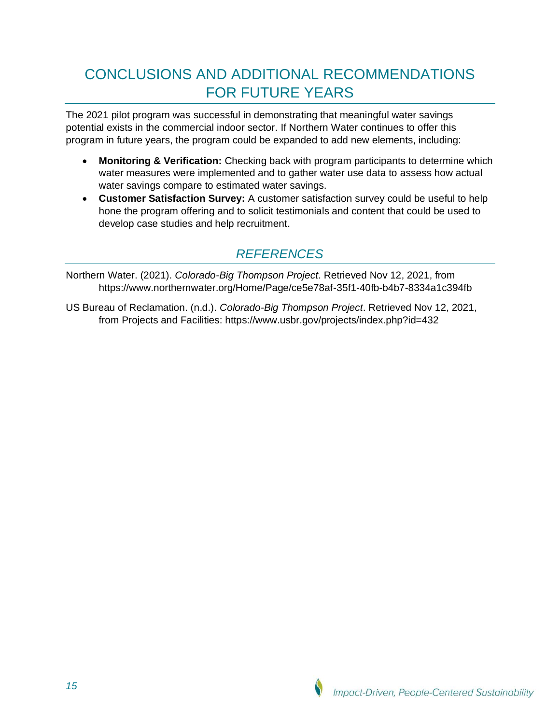# <span id="page-14-0"></span>CONCLUSIONS AND ADDITIONAL RECOMMENDATIONS FOR FUTURE YEARS

The 2021 pilot program was successful in demonstrating that meaningful water savings potential exists in the commercial indoor sector. If Northern Water continues to offer this program in future years, the program could be expanded to add new elements, including:

- **Monitoring & Verification:** Checking back with program participants to determine which water measures were implemented and to gather water use data to assess how actual water savings compare to estimated water savings.
- **Customer Satisfaction Survey:** A customer satisfaction survey could be useful to help hone the program offering and to solicit testimonials and content that could be used to develop case studies and help recruitment.

# *REFERENCES*

<span id="page-14-1"></span>Northern Water. (2021). *Colorado-Big Thompson Project*. Retrieved Nov 12, 2021, from https://www.northernwater.org/Home/Page/ce5e78af-35f1-40fb-b4b7-8334a1c394fb

US Bureau of Reclamation. (n.d.). *Colorado-Big Thompson Project*. Retrieved Nov 12, 2021, from Projects and Facilities: https://www.usbr.gov/projects/index.php?id=432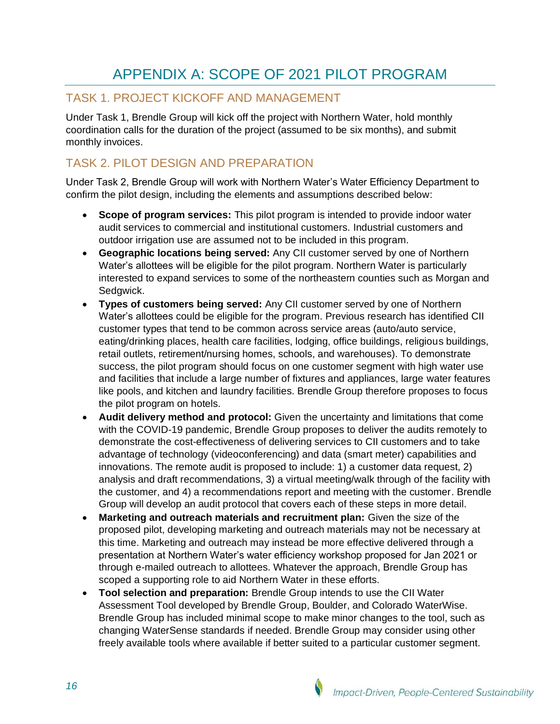# APPENDIX A: SCOPE OF 2021 PILOT PROGRAM

# <span id="page-15-0"></span>TASK 1. PROJECT KICKOFF AND MANAGEMENT

Under Task 1, Brendle Group will kick off the project with Northern Water, hold monthly coordination calls for the duration of the project (assumed to be six months), and submit monthly invoices.

# TASK 2. PILOT DESIGN AND PREPARATION

Under Task 2, Brendle Group will work with Northern Water's Water Efficiency Department to confirm the pilot design, including the elements and assumptions described below:

- **Scope of program services:** This pilot program is intended to provide indoor water audit services to commercial and institutional customers. Industrial customers and outdoor irrigation use are assumed not to be included in this program.
- **Geographic locations being served:** Any CII customer served by one of Northern Water's allottees will be eligible for the pilot program. Northern Water is particularly interested to expand services to some of the northeastern counties such as Morgan and Sedgwick.
- **Types of customers being served:** Any CII customer served by one of Northern Water's allottees could be eligible for the program. Previous research has identified CII customer types that tend to be common across service areas (auto/auto service, eating/drinking places, health care facilities, lodging, office buildings, religious buildings, retail outlets, retirement/nursing homes, schools, and warehouses). To demonstrate success, the pilot program should focus on one customer segment with high water use and facilities that include a large number of fixtures and appliances, large water features like pools, and kitchen and laundry facilities. Brendle Group therefore proposes to focus the pilot program on hotels.
- **Audit delivery method and protocol:** Given the uncertainty and limitations that come with the COVID-19 pandemic, Brendle Group proposes to deliver the audits remotely to demonstrate the cost-effectiveness of delivering services to CII customers and to take advantage of technology (videoconferencing) and data (smart meter) capabilities and innovations. The remote audit is proposed to include: 1) a customer data request, 2) analysis and draft recommendations, 3) a virtual meeting/walk through of the facility with the customer, and 4) a recommendations report and meeting with the customer. Brendle Group will develop an audit protocol that covers each of these steps in more detail.
- **Marketing and outreach materials and recruitment plan:** Given the size of the proposed pilot, developing marketing and outreach materials may not be necessary at this time. Marketing and outreach may instead be more effective delivered through a presentation at Northern Water's water efficiency workshop proposed for Jan 2021 or through e-mailed outreach to allottees. Whatever the approach, Brendle Group has scoped a supporting role to aid Northern Water in these efforts.
- **Tool selection and preparation:** Brendle Group intends to use the CII Water Assessment Tool developed by Brendle Group, Boulder, and Colorado WaterWise. Brendle Group has included minimal scope to make minor changes to the tool, such as changing WaterSense standards if needed. Brendle Group may consider using other freely available tools where available if better suited to a particular customer segment.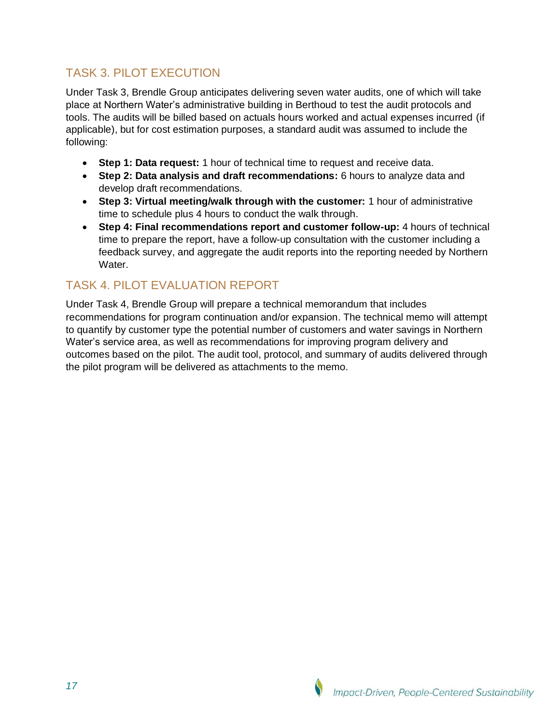# TASK 3. PILOT EXECUTION

Under Task 3, Brendle Group anticipates delivering seven water audits, one of which will take place at Northern Water's administrative building in Berthoud to test the audit protocols and tools. The audits will be billed based on actuals hours worked and actual expenses incurred (if applicable), but for cost estimation purposes, a standard audit was assumed to include the following:

- **Step 1: Data request:** 1 hour of technical time to request and receive data.
- **Step 2: Data analysis and draft recommendations:** 6 hours to analyze data and develop draft recommendations.
- **Step 3: Virtual meeting/walk through with the customer:** 1 hour of administrative time to schedule plus 4 hours to conduct the walk through.
- **Step 4: Final recommendations report and customer follow-up:** 4 hours of technical time to prepare the report, have a follow-up consultation with the customer including a feedback survey, and aggregate the audit reports into the reporting needed by Northern Water.

# TASK 4. PILOT EVALUATION REPORT

Under Task 4, Brendle Group will prepare a technical memorandum that includes recommendations for program continuation and/or expansion. The technical memo will attempt to quantify by customer type the potential number of customers and water savings in Northern Water's service area, as well as recommendations for improving program delivery and outcomes based on the pilot. The audit tool, protocol, and summary of audits delivered through the pilot program will be delivered as attachments to the memo.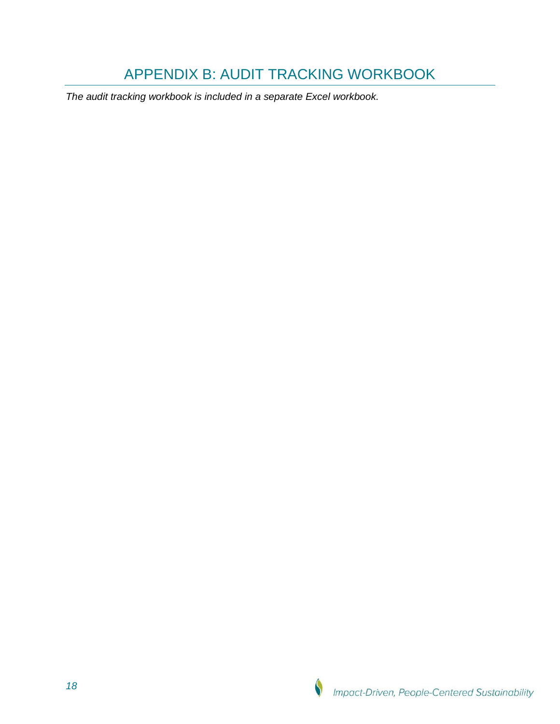# APPENDIX B: AUDIT TRACKING WORKBOOK

<span id="page-17-0"></span>*The audit tracking workbook is included in a separate Excel workbook.*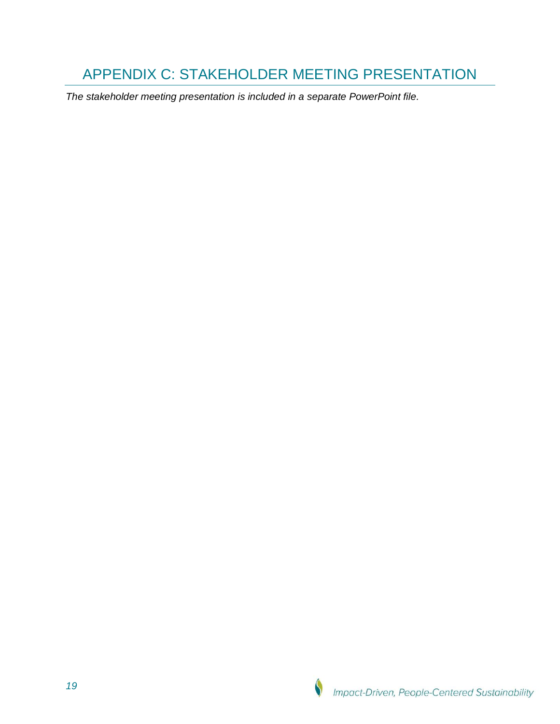# <span id="page-18-0"></span>APPENDIX C: STAKEHOLDER MEETING PRESENTATION

*The stakeholder meeting presentation is included in a separate PowerPoint file.*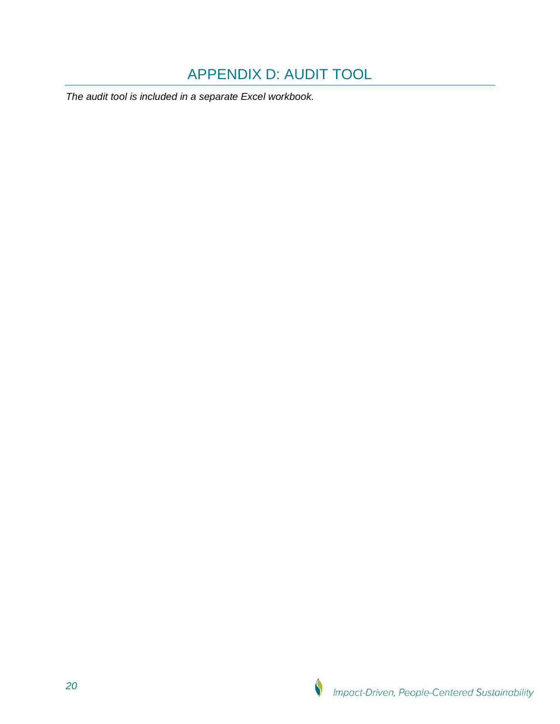# APPENDIX D: AUDIT TOOL

<span id="page-19-0"></span>*The audit tool is included in a separate Excel workbook.*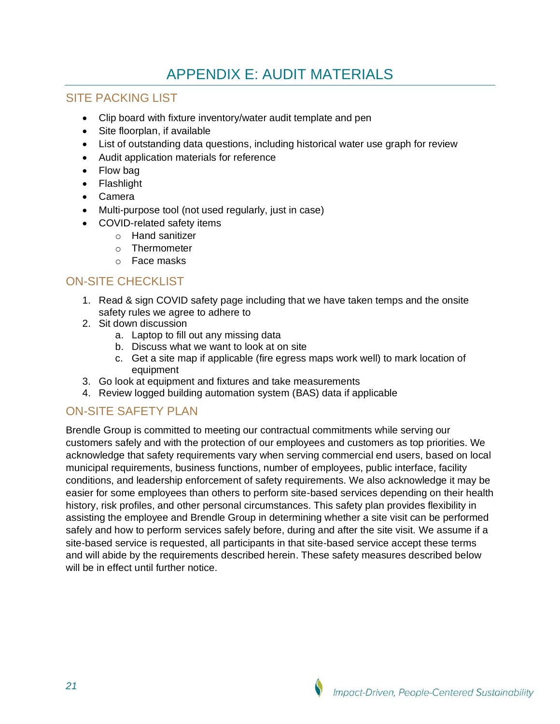# APPENDIX E: AUDIT MATERIALS

## <span id="page-20-0"></span>SITE PACKING LIST

- Clip board with fixture inventory/water audit template and pen
- Site floorplan, if available
- List of outstanding data questions, including historical water use graph for review
- Audit application materials for reference
- Flow bag
- Flashlight
- Camera
- Multi-purpose tool (not used regularly, just in case)
- COVID-related safety items
	- o Hand sanitizer
	- o Thermometer
	- o Face masks

# ON-SITE CHECKLIST

- 1. Read & sign COVID safety page including that we have taken temps and the onsite safety rules we agree to adhere to
- 2. Sit down discussion
	- a. Laptop to fill out any missing data
	- b. Discuss what we want to look at on site
	- c. Get a site map if applicable (fire egress maps work well) to mark location of equipment
- 3. Go look at equipment and fixtures and take measurements
- 4. Review logged building automation system (BAS) data if applicable

# ON-SITE SAFETY PLAN

Brendle Group is committed to meeting our contractual commitments while serving our customers safely and with the protection of our employees and customers as top priorities. We acknowledge that safety requirements vary when serving commercial end users, based on local municipal requirements, business functions, number of employees, public interface, facility conditions, and leadership enforcement of safety requirements. We also acknowledge it may be easier for some employees than others to perform site-based services depending on their health history, risk profiles, and other personal circumstances. This safety plan provides flexibility in assisting the employee and Brendle Group in determining whether a site visit can be performed safely and how to perform services safely before, during and after the site visit. We assume if a site-based service is requested, all participants in that site-based service accept these terms and will abide by the requirements described herein. These safety measures described below will be in effect until further notice.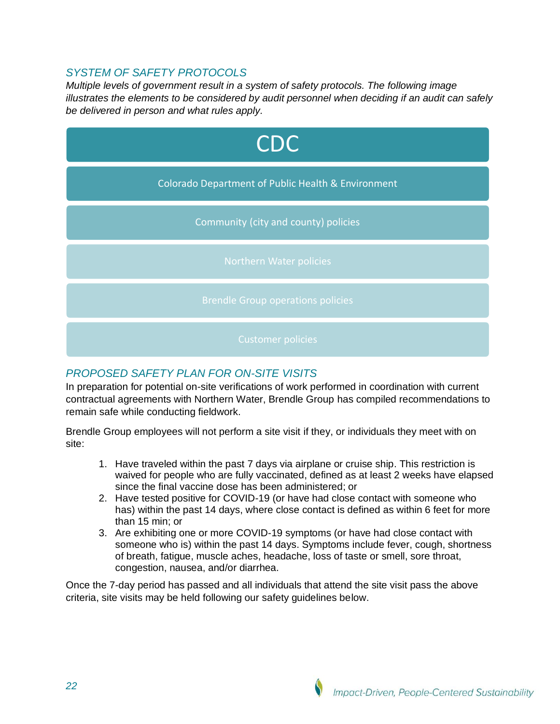## *SYSTEM OF SAFETY PROTOCOLS*

*Multiple levels of government result in a system of safety protocols. The following image illustrates the elements to be considered by audit personnel when deciding if an audit can safely be delivered in person and what rules apply.* 



## *PROPOSED SAFETY PLAN FOR ON-SITE VISITS*

In preparation for potential on-site verifications of work performed in coordination with current contractual agreements with Northern Water, Brendle Group has compiled recommendations to remain safe while conducting fieldwork.

Brendle Group employees will not perform a site visit if they, or individuals they meet with on site:

- 1. Have traveled within the past 7 days via airplane or cruise ship. This restriction is waived for people who are fully vaccinated, defined as at least 2 weeks have elapsed since the final vaccine dose has been administered; or
- 2. Have tested positive for COVID-19 (or have had close contact with someone who has) within the past 14 days, where close contact is defined as within 6 feet for more than 15 min; or
- 3. Are exhibiting one or more COVID-19 symptoms (or have had close contact with someone who is) within the past 14 days. Symptoms include fever, cough, shortness of breath, fatigue, muscle aches, headache, loss of taste or smell, sore throat, congestion, nausea, and/or diarrhea.

Once the 7-day period has passed and all individuals that attend the site visit pass the above criteria, site visits may be held following our safety guidelines below.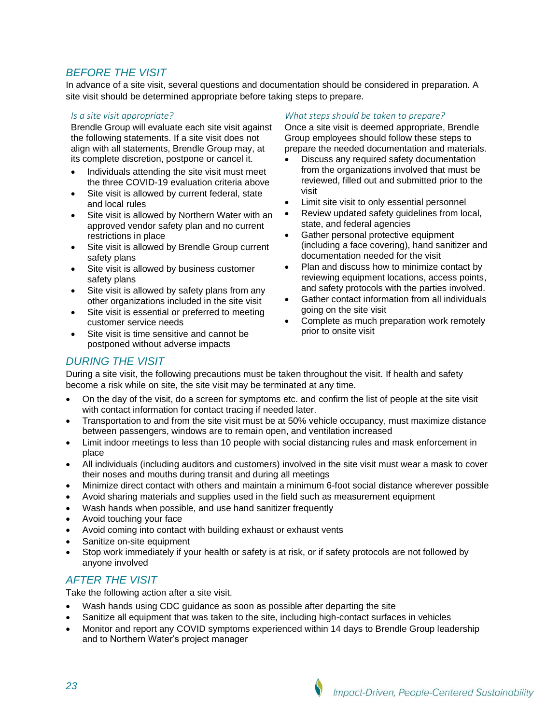## *BEFORE THE VISIT*

In advance of a site visit, several questions and documentation should be considered in preparation. A site visit should be determined appropriate before taking steps to prepare.

#### *Is a site visit appropriate?*

Brendle Group will evaluate each site visit against the following statements. If a site visit does not align with all statements, Brendle Group may, at its complete discretion, postpone or cancel it.

- Individuals attending the site visit must meet the three COVID-19 evaluation criteria above
- Site visit is allowed by current federal, state and local rules
- Site visit is allowed by Northern Water with an approved vendor safety plan and no current restrictions in place
- Site visit is allowed by Brendle Group current safety plans
- Site visit is allowed by business customer safety plans
- Site visit is allowed by safety plans from any other organizations included in the site visit
- Site visit is essential or preferred to meeting customer service needs
- Site visit is time sensitive and cannot be postponed without adverse impacts

#### *What steps should be taken to prepare?*

Once a site visit is deemed appropriate, Brendle Group employees should follow these steps to prepare the needed documentation and materials.

- Discuss any required safety documentation from the organizations involved that must be reviewed, filled out and submitted prior to the visit
- Limit site visit to only essential personnel
- Review updated safety guidelines from local, state, and federal agencies
- Gather personal protective equipment (including a face covering), hand sanitizer and documentation needed for the visit
- Plan and discuss how to minimize contact by reviewing equipment locations, access points, and safety protocols with the parties involved.
- Gather contact information from all individuals going on the site visit
- Complete as much preparation work remotely prior to onsite visit

### *DURING THE VISIT*

During a site visit, the following precautions must be taken throughout the visit. If health and safety become a risk while on site, the site visit may be terminated at any time.

- On the day of the visit, do a screen for symptoms etc. and confirm the list of people at the site visit with contact information for contact tracing if needed later.
- Transportation to and from the site visit must be at 50% vehicle occupancy, must maximize distance between passengers, windows are to remain open, and ventilation increased
- Limit indoor meetings to less than 10 people with social distancing rules and mask enforcement in place
- All individuals (including auditors and customers) involved in the site visit must wear a mask to cover their noses and mouths during transit and during all meetings
- Minimize direct contact with others and maintain a minimum 6-foot social distance wherever possible
- Avoid sharing materials and supplies used in the field such as measurement equipment
- Wash hands when possible, and use hand sanitizer frequently
- Avoid touching your face
- Avoid coming into contact with building exhaust or exhaust vents
- Sanitize on-site equipment
- Stop work immediately if your health or safety is at risk, or if safety protocols are not followed by anyone involved

### *AFTER THE VISIT*

Take the following action after a site visit.

- Wash hands using CDC guidance as soon as possible after departing the site
- Sanitize all equipment that was taken to the site, including high-contact surfaces in vehicles
- Monitor and report any COVID symptoms experienced within 14 days to Brendle Group leadership and to Northern Water's project manager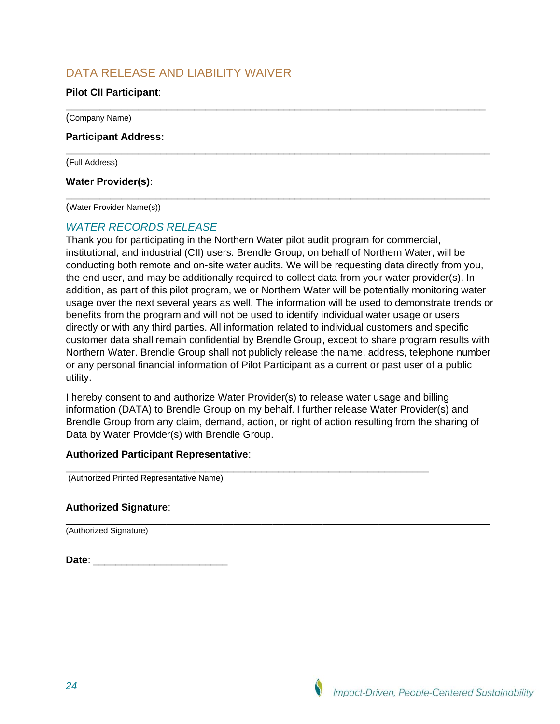# DATA RELEASE AND LIABILITY WAIVER

### **Pilot CII Participant**:

(Company Name)

#### **Participant Address:**

(Full Address)

#### **Water Provider(s)**:

(Water Provider Name(s))

### *WATER RECORDS RELEASE*

Thank you for participating in the Northern Water pilot audit program for commercial, institutional, and industrial (CII) users. Brendle Group, on behalf of Northern Water, will be conducting both remote and on-site water audits. We will be requesting data directly from you, the end user, and may be additionally required to collect data from your water provider(s). In addition, as part of this pilot program, we or Northern Water will be potentially monitoring water usage over the next several years as well. The information will be used to demonstrate trends or benefits from the program and will not be used to identify individual water usage or users directly or with any third parties. All information related to individual customers and specific customer data shall remain confidential by Brendle Group, except to share program results with Northern Water. Brendle Group shall not publicly release the name, address, telephone number or any personal financial information of Pilot Participant as a current or past user of a public utility.

\_\_\_\_\_\_\_\_\_\_\_\_\_\_\_\_\_\_\_\_\_\_\_\_\_\_\_\_\_\_\_\_\_\_\_\_\_\_\_\_\_\_\_\_\_\_\_\_\_\_\_\_\_\_\_\_\_\_\_\_\_\_\_\_\_\_\_\_\_\_\_\_\_\_\_

\_\_\_\_\_\_\_\_\_\_\_\_\_\_\_\_\_\_\_\_\_\_\_\_\_\_\_\_\_\_\_\_\_\_\_\_\_\_\_\_\_\_\_\_\_\_\_\_\_\_\_\_\_\_\_\_\_\_\_\_\_\_\_\_\_\_\_\_\_\_\_\_\_\_\_\_

\_\_\_\_\_\_\_\_\_\_\_\_\_\_\_\_\_\_\_\_\_\_\_\_\_\_\_\_\_\_\_\_\_\_\_\_\_\_\_\_\_\_\_\_\_\_\_\_\_\_\_\_\_\_\_\_\_\_\_\_\_\_\_\_\_\_\_\_\_\_\_\_\_\_\_\_

I hereby consent to and authorize Water Provider(s) to release water usage and billing information (DATA) to Brendle Group on my behalf. I further release Water Provider(s) and Brendle Group from any claim, demand, action, or right of action resulting from the sharing of Data by Water Provider(s) with Brendle Group.

\_\_\_\_\_\_\_\_\_\_\_\_\_\_\_\_\_\_\_\_\_\_\_\_\_\_\_\_\_\_\_\_\_\_\_\_\_\_\_\_\_\_\_\_\_\_\_\_\_\_\_\_\_\_\_\_\_\_\_\_\_\_\_\_\_\_\_\_\_\_\_\_\_\_\_\_

#### **Authorized Participant Representative**:

\_\_\_\_\_\_\_\_\_\_\_\_\_\_\_\_\_\_\_\_\_\_\_\_\_\_\_\_\_\_\_\_\_\_\_\_\_\_\_\_\_\_\_\_\_\_\_\_\_\_\_\_\_\_\_\_\_\_\_\_\_\_\_\_\_ (Authorized Printed Representative Name)

#### **Authorized Signature**:

(Authorized Signature)

| Date: |  |  |  |
|-------|--|--|--|
|       |  |  |  |
|       |  |  |  |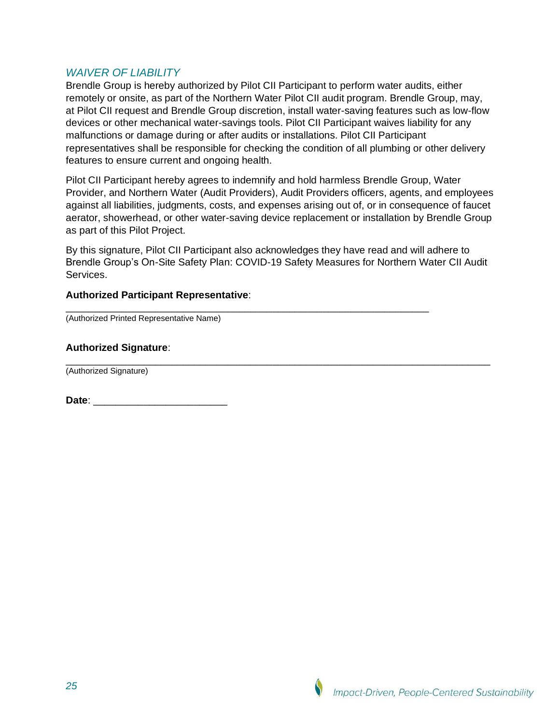### *WAIVER OF LIABILITY*

Brendle Group is hereby authorized by Pilot CII Participant to perform water audits, either remotely or onsite, as part of the Northern Water Pilot CII audit program. Brendle Group, may, at Pilot CII request and Brendle Group discretion, install water-saving features such as low-flow devices or other mechanical water-savings tools. Pilot CII Participant waives liability for any malfunctions or damage during or after audits or installations. Pilot CII Participant representatives shall be responsible for checking the condition of all plumbing or other delivery features to ensure current and ongoing health.

Pilot CII Participant hereby agrees to indemnify and hold harmless Brendle Group, Water Provider, and Northern Water (Audit Providers), Audit Providers officers, agents, and employees against all liabilities, judgments, costs, and expenses arising out of, or in consequence of faucet aerator, showerhead, or other water-saving device replacement or installation by Brendle Group as part of this Pilot Project.

By this signature, Pilot CII Participant also acknowledges they have read and will adhere to Brendle Group's On-Site Safety Plan: COVID-19 Safety Measures for Northern Water CII Audit Services.

\_\_\_\_\_\_\_\_\_\_\_\_\_\_\_\_\_\_\_\_\_\_\_\_\_\_\_\_\_\_\_\_\_\_\_\_\_\_\_\_\_\_\_\_\_\_\_\_\_\_\_\_\_\_\_\_\_\_\_\_\_\_\_\_\_

#### **Authorized Participant Representative**:

(Authorized Printed Representative Name)

### **Authorized Signature**:

\_\_\_\_\_\_\_\_\_\_\_\_\_\_\_\_\_\_\_\_\_\_\_\_\_\_\_\_\_\_\_\_\_\_\_\_\_\_\_\_\_\_\_\_\_\_\_\_\_\_\_\_\_\_\_\_\_\_\_\_\_\_\_\_\_\_\_\_\_\_\_\_\_\_\_\_ (Authorized Signature)

**Date**: \_\_\_\_\_\_\_\_\_\_\_\_\_\_\_\_\_\_\_\_\_\_\_\_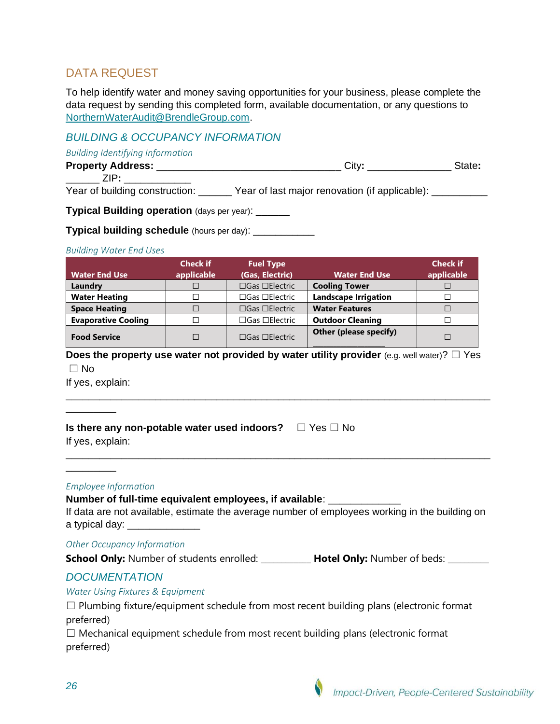# DATA REQUEST

To help identify water and money saving opportunities for your business, please complete the data request by sending this completed form, available documentation, or any questions to [NorthernWaterAudit@BrendleGroup.com.](mailto:NorthernWaterAudit@BrendleGroup.com)

## *BUILDING & OCCUPANCY INFORMATION*

*Building Identifying Information*

| <b>Property Address:</b> |  |
|--------------------------|--|
| .                        |  |

Year of building construction: \_\_\_\_\_\_ Year of last major renovation (if applicable): \_\_\_\_\_\_\_\_\_\_

**Typical Building operation** (days per year): \_\_\_\_\_

**Typical building schedule** (hours per day): \_\_\_\_\_\_\_\_\_\_

#### *Building Water End Uses*

|                            | <b>Check if</b> | <b>Fuel Type</b>                 |                             | <b>Check if</b> |
|----------------------------|-----------------|----------------------------------|-----------------------------|-----------------|
| <b>Water End Use</b>       | applicable      | (Gas, Electric)                  | <b>Water End Use</b>        | applicable      |
| Laundry                    |                 | $\square$ Gas $\square$ Electric | <b>Cooling Tower</b>        |                 |
| <b>Water Heating</b>       |                 | $\Box$ Gas $\Box$ Electric       | <b>Landscape Irrigation</b> |                 |
| <b>Space Heating</b>       |                 | $\square$ Gas $\square$ Electric | <b>Water Features</b>       |                 |
| <b>Evaporative Cooling</b> |                 | $\Box$ Gas $\Box$ Electric       | <b>Outdoor Cleaning</b>     |                 |
| <b>Food Service</b>        |                 | $\square$ Gas $\square$ Electric | Other (please specify)      |                 |

**Does the property use water not provided by water utility provider** (e.g. well water)? □ Yes  $\Box$  No

\_\_\_\_\_\_\_\_\_\_\_\_\_\_\_\_\_\_\_\_\_\_\_\_\_\_\_\_\_\_\_\_\_\_\_\_\_\_\_\_\_\_\_\_\_\_\_\_\_\_\_\_\_\_\_\_\_\_\_\_\_\_\_\_\_\_\_\_\_\_\_\_\_\_\_\_

\_\_\_\_\_\_\_\_\_\_\_\_\_\_\_\_\_\_\_\_\_\_\_\_\_\_\_\_\_\_\_\_\_\_\_\_\_\_\_\_\_\_\_\_\_\_\_\_\_\_\_\_\_\_\_\_\_\_\_\_\_\_\_\_\_\_\_\_\_\_\_\_\_\_\_\_

If yes, explain:

\_\_\_\_\_\_\_\_\_

\_\_\_\_\_\_\_\_\_

**Is there any non-potable water used indoors?** ☐ Yes ☐ No

If yes, explain:

#### *Employee Information*

**Number of full-time equivalent employees, if available**: \_\_\_\_\_\_\_\_\_\_\_\_\_

If data are not available, estimate the average number of employees working in the building on a typical day:

*Other Occupancy Information*

**School Only:** Number of students enrolled: **Hotel Only:** Number of beds:

### *DOCUMENTATION*

*Water Using Fixtures & Equipment*

 $\Box$  Plumbing fixture/equipment schedule from most recent building plans (electronic format preferred)

☐ Mechanical equipment schedule from most recent building plans (electronic format preferred)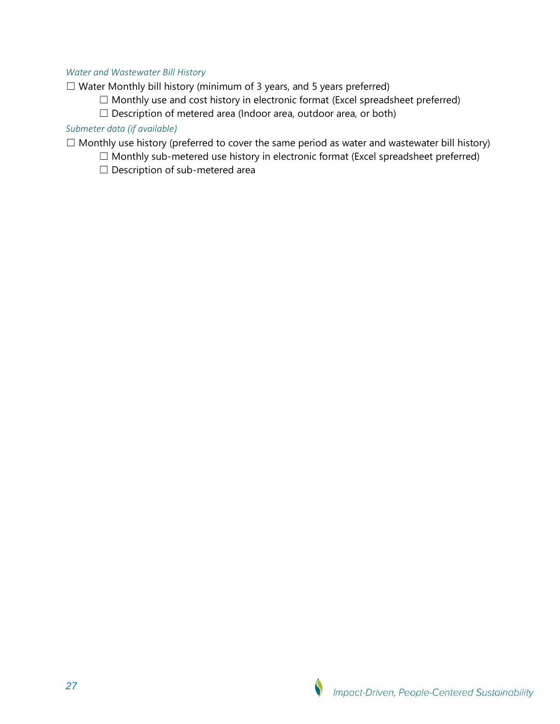#### *Water and Wastewater Bill History*

☐ Water Monthly bill history (minimum of 3 years, and 5 years preferred)

- ☐ Monthly use and cost history in electronic format (Excel spreadsheet preferred)
- □ Description of metered area (Indoor area, outdoor area, or both)

### *Submeter data (if available)*

 $\Box$  Monthly use history (preferred to cover the same period as water and wastewater bill history)

- $\Box$  Monthly sub-metered use history in electronic format (Excel spreadsheet preferred)
- □ Description of sub-metered area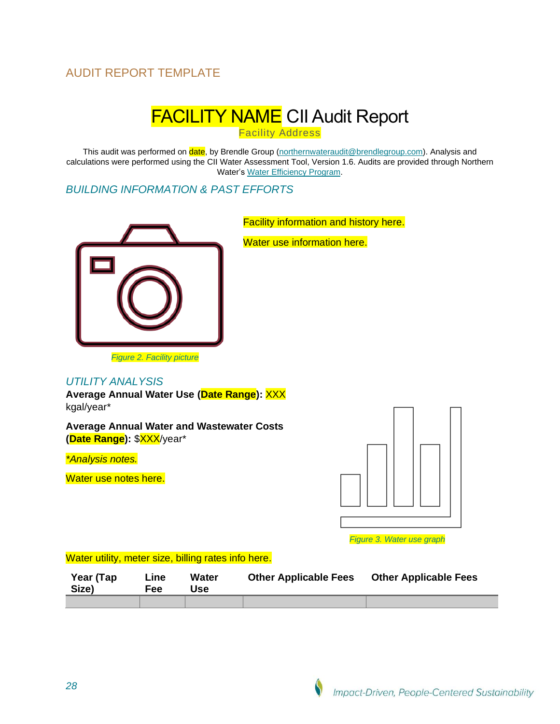# AUDIT REPORT TEMPLATE

# **FACILITY NAME CII Audit Report**

**Facility Address** 

This audit was performed on date, by Brendle Group [\(northernwateraudit@brendlegroup.com\)](mailto:northernwateraudit@brendlegroup.com). Analysis and calculations were performed using the CII Water Assessment Tool, Version 1.6. Audits are provided through Northern Water's [Water Efficiency Program.](https://www.northernwater.org/what-we-do/protect-the-environment/efficient-water-use)

### *BUILDING INFORMATION & PAST EFFORTS*



Facility information and history here.

Water use information here.

#### *Figure 2. Facility picture*

#### *UTILITY ANALYSIS*

**Average Annual Water Use (Date Range):** XXX kgal/year\*

**Average Annual Water and Wastewater Costs (Date Range):** \$XXX/year\*

*\*Analysis notes.*

Water use notes here.



*Figure 3. Water use graph*

#### Water utility, meter size, billing rates info here.

| Year (Tap<br>Size) | ∟ine<br>Fee | <b>Water</b><br>Jse | <b>Other Applicable Fees</b> | <b>Other Applicable Fees</b> |
|--------------------|-------------|---------------------|------------------------------|------------------------------|
|                    |             |                     |                              |                              |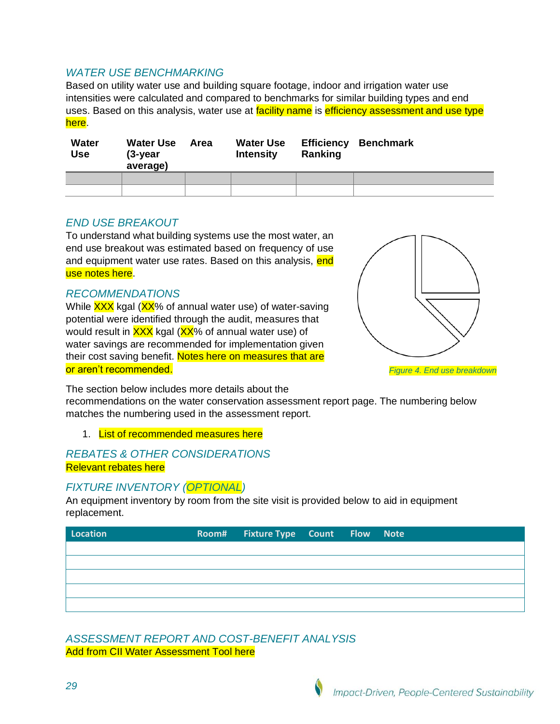## *WATER USE BENCHMARKING*

Based on utility water use and building square footage, indoor and irrigation water use intensities were calculated and compared to benchmarks for similar building types and end uses. Based on this analysis, water use at facility name is efficiency assessment and use type here.

| Water<br><b>Use</b> | <b>Water Use</b><br>(3-year<br>average) | Area | <b>Water Use</b><br><b>Intensity</b> | Ranking | <b>Efficiency Benchmark</b> |
|---------------------|-----------------------------------------|------|--------------------------------------|---------|-----------------------------|
|                     |                                         |      |                                      |         |                             |
|                     |                                         |      |                                      |         |                             |

### *END USE BREAKOUT*

To understand what building systems use the most water, an end use breakout was estimated based on frequency of use and equipment water use rates. Based on this analysis, end use notes here.

### *RECOMMENDATIONS*

While XXX kgal (XX% of annual water use) of water-saving potential were identified through the audit, measures that would result in XXX kgal (XX% of annual water use) of water savings are recommended for implementation given their cost saving benefit. Notes here on measures that are or aren't recommended.



*Figure 4. End use breakdown*

The section below includes more details about the

recommendations on the water conservation assessment report page. The numbering below matches the numbering used in the assessment report.

1. List of recommended measures here

### *REBATES & OTHER CONSIDERATIONS* Relevant rebates here

### *FIXTURE INVENTORY (OPTIONAL)*

An equipment inventory by room from the site visit is provided below to aid in equipment replacement.

| Location | Room# Fixture Type Count Flow Note |  |  |
|----------|------------------------------------|--|--|
|          |                                    |  |  |
|          |                                    |  |  |
|          |                                    |  |  |
|          |                                    |  |  |
|          |                                    |  |  |

*ASSESSMENT REPORT AND COST-BENEFIT ANALYSIS* Add from CII Water Assessment Tool here